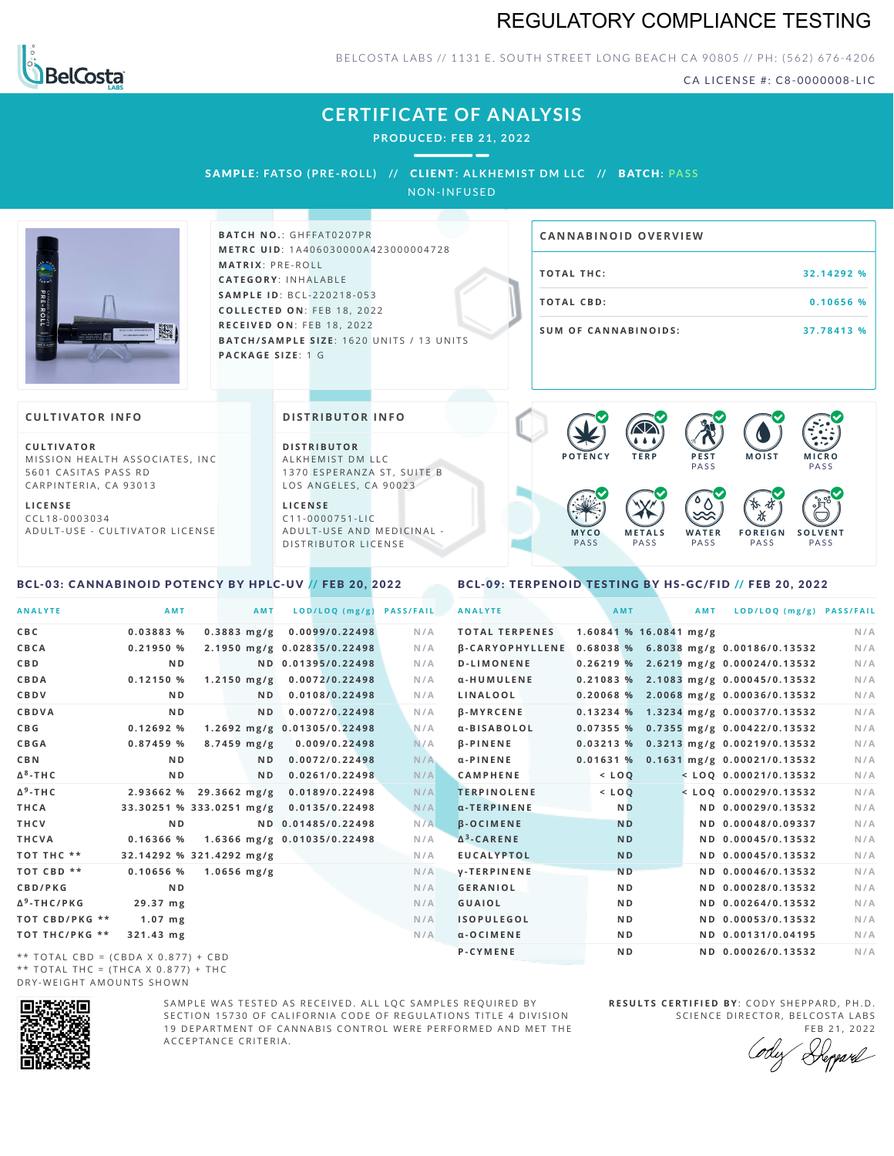## REGULATORY COMPLIANCE TESTING



BELCOSTA LABS // 1131 E. SOUTH STREET LONG BEACH CA 90805 // PH: (562) 676-4206

CA LICENSE #: C8-0000008-LIC

**M O IS T M IC R O PASS** 

**S O L V E N T** PA S S

## **CERTIFICATE OF ANALYSIS**

**PRODUCED: F EB 21, 2022**

SAMPL E **: FATSO (PRE -ROL L ) //** CL I ENT**: A LKHEMI ST DM L LC //** BATCH**: PA S S** NON-INFUSED

**BATCH NO.: GHFFAT0207PR M E T R C U ID** :1 A 4 0 6 0 3 0 0 0 0 A 4 2 3 0 0 0 0 0 4 7 2 8 **M AT R I X** :P R E - R O L L **CAT E G O R Y** : I N H A L A B L E **SA M P L E I D** :B C L - 2 2 0 2 1 8 - 0 5 3 **C O L L E C T E D O N** :F E B 1 8 , 2 0 2 2 **R E C E I V E D O N** : F E B 1 8 , 2 0 2 2 **BATCH/SAMPLE SIZE: 1620 UNITS / 13 UNITS PAC KA G E S I Z E** : 1 G **T O TAL T H C :3 2 . 1 4 2 9 2 % T O TAL CB D :0 . 1 0 6 5 6 % S U M O F CA N N ABI N O I D S : 3 7 . 7 8 4 1 3 % CA N N ABI N OID OVERVI EW**  $\bullet$  60 60 60 60

### **CULTIVATOR I N FO**

**C U L T I VAT O R** MISSION HEALTH ASSOCIATES, INC. 5601 CASITAS PASS RD CARPINTERIA, CA 93013

**L I C E N S E** C C L 1 8 - 0 0 0 3 0 3 4 A D U L T - U S E - C U L T I V A T O R L I C E N S E

### **DI STRIBUTOR I N FO**

**D I S T R IB U T O R** ALKHEMIST DM LLC 1370 ESPERANZA ST, SUITE B LOS ANGELES, CA 90023

**L I C E N S E** C 1 1 - 0 0 0 0 7 5 1 - L I C A D U L T - U S E A N D M E D I C I N A L -D ISTRIBUTOR LICENSE

### <span id="page-0-0"></span>BCL-03: CANNABINOID POTENCY BY HPLC-UV // FEB 20, 2022

### <span id="page-0-1"></span>BCL-09: TERPENOID TESTING BY HS-GC/FID // FEB 20, 2022

**M E T A L S** PA S S

**M Y C O** PA S S

**P O T E N C Y T E R P P E S T**

PA S S

 $\bullet$  0.0 0.0 0.0

**W A T E R** PA S S

**F O R E I G N** PA S S

祇

| <b>ANALYTE</b>                      | AMT                      | <b>AMT</b>             | LOD/LOQ (mg/g)                          | <b>PASS/FAIL</b> | <b>ANALYTE</b>        | AMT            |                            | <b>AMT</b> | LOD/LOQ (mg/g) PASS/FAIL                              |     |
|-------------------------------------|--------------------------|------------------------|-----------------------------------------|------------------|-----------------------|----------------|----------------------------|------------|-------------------------------------------------------|-----|
| C B C                               | 0.03883 %                | $0.3883$ mg/g          | 0.0099/0.22498                          | N/A              | <b>TOTAL TERPENES</b> |                | $1.60841$ % $16.0841$ mg/g |            |                                                       | N/A |
| CBCA                                | 0.21950%                 |                        | 2.1950 mg/g 0.02835/0.22498             | N/A              |                       |                |                            |            | β-CARYOPHYLLENE 0.68038 % 6.8038 mg/g 0.00186/0.13532 | N/A |
| C B D                               | N <sub>D</sub>           |                        | ND 0.01395/0.22498                      | N/A              | <b>D-LIMONENE</b>     |                |                            |            | 0.26219 % 2.6219 mg/g 0.00024/0.13532                 | N/A |
| CBDA                                | 0.12150%                 | $1.2150$ mg/g          | 0.0072/0.22498                          | N/A              | α-HUMULENE            |                |                            |            | $0.21083$ % 2.1083 mg/g 0.00045/0.13532               | N/A |
| CBDV                                | N <sub>D</sub>           | N <sub>D</sub>         | 0.0108/0.22498                          | N/A              | LINALOOL              |                |                            |            | $0.20068$ % 2.0068 mg/g 0.00036/0.13532               | N/A |
| CBDVA                               | N <sub>D</sub>           | N <sub>D</sub>         | 0.0072/0.22498                          | N/A              | <b>B-MYRCENE</b>      |                |                            |            | $0.13234$ % 1.3234 mg/g 0.00037/0.13532               | N/A |
| C B G                               | 0.12692%                 |                        | 1.2692 mg/g 0.01305/0.22498             | N/A              | a-BISABOLOL           |                |                            |            | 0.07355 % 0.7355 mg/g 0.00422/0.13532                 | N/A |
| <b>CBGA</b>                         | 0.87459%                 | $8.7459$ mg/g          | 0.009/0.22498                           | N/A              | <b>B-PINENE</b>       |                |                            |            | 0.03213 % 0.3213 mg/g 0.00219/0.13532                 | N/A |
| C B N                               | ND.                      | ND.                    | 0.0072/0.22498                          | N/A              | $\alpha$ -PINENE      |                |                            |            | 0.01631 % 0.1631 mg/g 0.00021/0.13532                 | N/A |
| Δ <sup>8</sup> -ΤΗ C                | N <sub>D</sub>           | ND.                    | 0.0261/0.22498                          | N/A              | <b>CAMPHENE</b>       | $<$ LOQ        |                            |            | $<$ LOQ 0.00021/0.13532                               | N/A |
| Δ <sup>9</sup> -ΤΗ C                | 2.93662 %                | $29.3662 \text{ mg/g}$ | 0.0189/0.22498                          | N/A              | <b>TERPINOLENE</b>    | $<$ LOQ        |                            |            | $<$ LOO 0.00029/0.13532                               | N/A |
| THCA                                |                          |                        | 33.30251 % 333.0251 mg/g 0.0135/0.22498 | N/A              | $\alpha$ -TERPINENE   | <b>ND</b>      |                            |            | ND 0.00029/0.13532                                    | N/A |
| THCV                                | N <sub>D</sub>           |                        | ND 0.01485/0.22498                      | N/A              | <b>B-OCIMENE</b>      | <b>ND</b>      |                            |            | ND 0.00048/0.09337                                    | N/A |
| THCVA                               | 0.16366 %                |                        | 1.6366 mg/g 0.01035/0.22498             | N/A              | $\Delta^3$ -CARENE    | <b>ND</b>      |                            |            | ND 0.00045/0.13532                                    | N/A |
| тот тнс **                          | 32.14292 % 321.4292 mg/g |                        |                                         | N/A              | <b>EUCALYPTOL</b>     | <b>ND</b>      |                            |            | ND 0.00045/0.13532                                    | N/A |
| TOT CBD **                          | 0.10656%                 | $1.0656$ mg/g          |                                         | N/A              | <b>V-TERPINENE</b>    | N <sub>D</sub> |                            |            | ND 0.00046/0.13532                                    | N/A |
| <b>CBD/PKG</b>                      | N <sub>D</sub>           |                        |                                         | N/A              | <b>GERANIOL</b>       | N <sub>D</sub> |                            |            | ND 0.00028/0.13532                                    | N/A |
| Δ <sup>9</sup> -THC/PKG             | 29.37 mg                 |                        |                                         | N/A              | <b>GUAIOL</b>         | N <sub>D</sub> |                            |            | ND 0.00264/0.13532                                    | N/A |
| ТОТ СВD/РКG **                      | $1.07$ mg                |                        |                                         | N/A              | <b>ISOPULEGOL</b>     | ND.            |                            |            | ND 0.00053/0.13532                                    | N/A |
| ТОТ ТНС/РКG **                      | 321.43 mg                |                        |                                         | N/A              | $\alpha$ -OCIMENE     | N <sub>D</sub> |                            |            | ND 0.00131/0.04195                                    | N/A |
| ** TOTAL CBD = (CBDA X 0.877) + CBD |                          |                        |                                         |                  | P-CYMENE              | N <sub>D</sub> |                            |            | ND 0.00026/0.13532                                    | N/A |
|                                     |                          |                        |                                         |                  |                       |                |                            |            |                                                       |     |

\*\* TOTAL CBD = (CBDA X 0.877) + CBD \*\* TOTAL THC =  $(THCA X 0.877) + THC$ DRY-WEIGHT AMOUNTS SHOWN



SAMPLE WAS TESTED AS RECEIVED. ALL LOC SAMPLES REQUIRED BY SECTION 15730 OF CALIFORNIA CODE OF REGULATIONS TITLE 4 DIVISION 19 DEPARTMENT OF CANNABIS CONTROL WERE PERFORMED AND MET THE A C C E P T A N C E C R I T E R I A .

**R E S U L T S C E R T I F I E D BY** : C O D Y S H E P P A R D ,P H .D . SCIENCE DIRECTOR, BELCOSTA LABS

FEB 21, 2022 Depard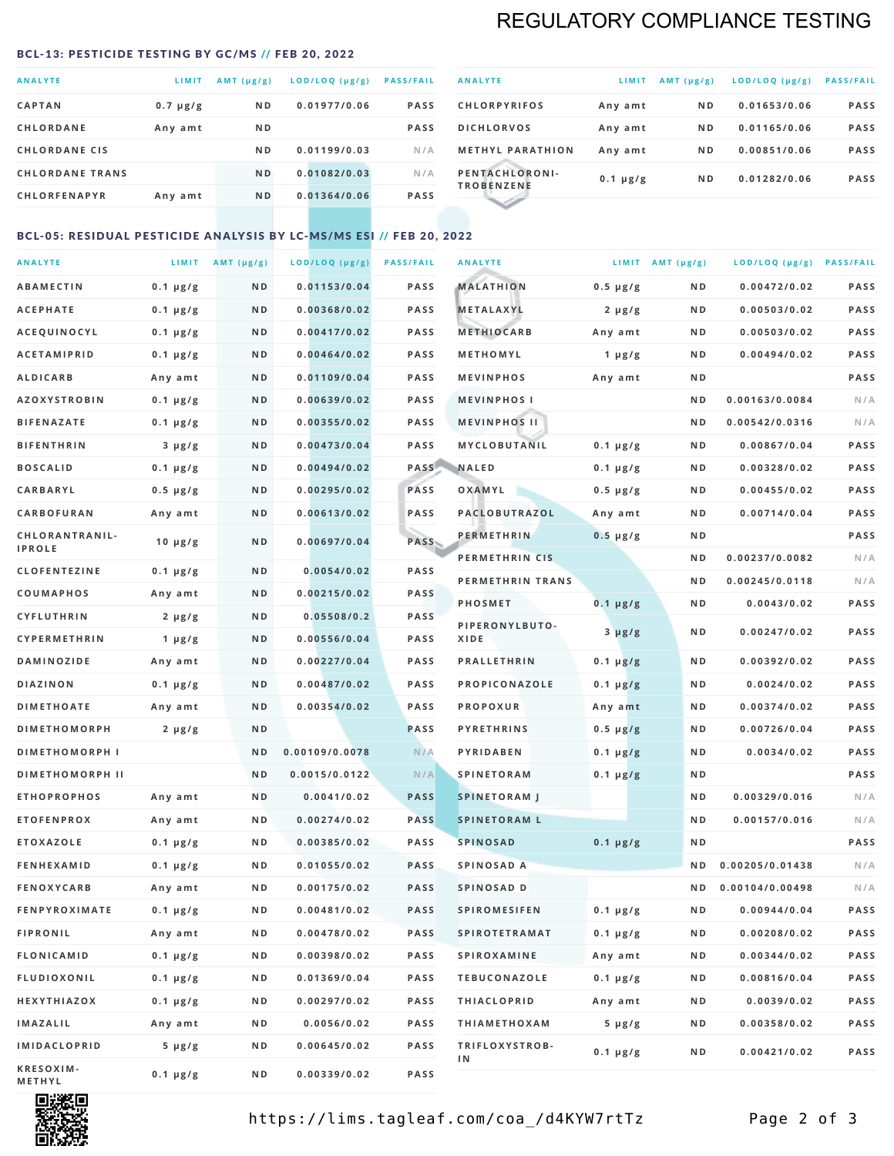## REGULATORY COMPLIANCE TESTING

#### <span id="page-1-0"></span>BCL-13: PESTICIDE TESTING BY GC/MS // FEB 20, 2022

| <b>ANALYTE</b>         | LIMIT         | $AMT(\mu g/g)$ | LOD/LOQ (µg/g) | <b>PASS/FAIL</b> |
|------------------------|---------------|----------------|----------------|------------------|
| <b>CAPTAN</b>          | $0.7 \mu g/g$ | N <sub>D</sub> | 0.01977/0.06   | <b>PASS</b>      |
| <b>CHLORDANE</b>       | Any amt       | N <sub>D</sub> |                | <b>PASS</b>      |
| <b>CHLORDANE CIS</b>   |               | ND.            | 0.01199/0.03   | N/A              |
| <b>CHLORDANE TRANS</b> |               | N <sub>D</sub> | 0.01082/0.03   | N/A              |
| <b>CHLORFENAPYR</b>    | Any amt       | N <sub>D</sub> | 0.01364/0.06   | <b>PASS</b>      |
|                        |               |                |                |                  |

| <b>ANALYTE</b>                      | LIMIT         | $AMT (\mu g/g)$ | LOD/LOQ (µg/g) | <b>PASS/FAIL</b> |
|-------------------------------------|---------------|-----------------|----------------|------------------|
| <b>CHLORPYRIFOS</b>                 | Any amt       | N <sub>D</sub>  | 0.01653/0.06   | <b>PASS</b>      |
| <b>DICHLORVOS</b>                   | Any amt       | N <sub>D</sub>  | 0.01165/0.06   | <b>PASS</b>      |
| <b>METHYL PARATHION</b>             | Any amt       | N <sub>D</sub>  | 0.00851/0.06   | <b>PASS</b>      |
| PENTACHLORONI-<br><b>TROBENZENE</b> | $0.1 \mu g/g$ | N <sub>D</sub>  | 0.01282/0.06   | <b>PASS</b>      |
|                                     |               |                 |                |                  |

### BCL-05: RESIDUAL PESTICIDE ANALYSIS BY LC-MS/MS ESI // FEB 20, 2022

| <b>ANALYTE</b>         |                  | LIMIT $AMT (\mu g/g)$ | LOD/LOQ (µg/g) | <b>PASS/FAIL</b> | <b>ANALYTE</b>       |                  | LIMIT AMT $(\mu g/g)$ | LOD/LOQ (µg/g) PASS/FAIL |             |
|------------------------|------------------|-----------------------|----------------|------------------|----------------------|------------------|-----------------------|--------------------------|-------------|
| <b>ABAMECTIN</b>       | $0.1 \mu g/g$    | N D                   | 0.01153/0.04   | <b>PASS</b>      | <b>MALATHION</b>     | $0.5 \mu g/g$    | N D                   | 0.00472/0.02             | <b>PASS</b> |
| <b>ACEPHATE</b>        | $0.1 \mu g/g$    | N D                   | 0.00368/0.02   | <b>PASS</b>      | <b>METALAXYL</b>     | $2 \mu g/g$      | N D                   | 0.00503/0.02             | PASS        |
| ACEQUINOCYL            | $0.1 \mu g/g$    | N D                   | 0.00417/0.02   | <b>PASS</b>      | <b>METHIOCARB</b>    | Any amt          | N D                   | 0.00503/0.02             | PASS        |
| <b>ACETAMIPRID</b>     | $0.1 \mu g/g$    | N D                   | 0.00464/0.02   | PASS             | METHOMYL             | 1 $\mu$ g/g      | N D                   | 0.00494/0.02             | PASS        |
| <b>ALDICARB</b>        | Any amt          | ND                    | 0.01109/0.04   | <b>PASS</b>      | <b>MEVINPHOS</b>     | Any amt          | N D                   |                          | PASS        |
| <b>AZOXYSTROBIN</b>    | $0.1 \mu g/g$    | N D                   | 0.00639/0.02   | <b>PASS</b>      | <b>MEVINPHOSI</b>    |                  | N D                   | 0.00163/0.0084           | N/A         |
| <b>BIFENAZATE</b>      | $0.1 \mu g/g$    | N D                   | 0.00355/0.02   | <b>PASS</b>      | <b>MEVINPHOS II</b>  |                  | N D                   | 0.00542/0.0316           | N/A         |
| <b>BIFENTHRIN</b>      | $3 \mu g/g$      | ND                    | 0.00473/0.04   | <b>PASS</b>      | MYCLOBUTANIL         | $0.1 \mu g/g$    | N D                   | 0.00867/0.04             | PASS        |
| <b>BOSCALID</b>        | $0.1 \mu g/g$    | N D                   | 0.00494/0.02   |                  | PASS NALED           | 0.1 µg/g         | N D                   | 0.00328/0.02             | PASS        |
| CARBARYL               | $0.5 \, \mu g/g$ | N D                   | 0.00295/0.02   | PASS             | OXAMYL               | $0.5 \, \mu g/g$ | N D                   | 0.00455/0.02             | PASS        |
| CARBOFURAN             | Any amt          | N D                   | 0.00613/0.02   | PASS             | PACLOBUTRAZOL        | Any amt          | N D                   | 0.00714/0.04             | PASS        |
| CHLORANTRANIL-         | $10 \mu g/g$     | N D                   | 0.00697/0.04   | PASS             | <b>PERMETHRIN</b>    | $0.5 \mu g/g$    | N D                   |                          | PASS        |
| <b>IPROLE</b>          |                  |                       |                |                  | PERMETHRIN CIS       |                  | N D                   | 0.00237/0.0082           | N/A         |
| <b>CLOFENTEZINE</b>    | $0.1 \mu g/g$    | N D                   | 0.0054/0.02    | <b>PASS</b>      | PERMETHRIN TRANS     |                  | N D                   | 0.00245/0.0118           | N/A         |
| COUMAPHOS              | Any amt          | N D                   | 0.00215/0.02   | PASS             | <b>PHOSMET</b>       | $0.1 \mu g/g$    | N D                   | 0.0043/0.02              | PASS        |
| CYFLUTHRIN             | $2 \mu g/g$      | N D                   | 0.05508/0.2    | <b>PASS</b>      | PIPERONYLBUTO-       | $3 \mu g/g$      | N D                   | 0.00247/0.02             | PASS        |
| <b>CYPERMETHRIN</b>    | $1 \mu g/g$      | N D                   | 0.00556/0.04   | <b>PASS</b>      | XIDE                 |                  |                       |                          |             |
| <b>DAMINOZIDE</b>      | Any amt          | N D                   | 0.00227/0.04   | PASS             | <b>PRALLETHRIN</b>   | $0.1 \mu g/g$    | N D                   | 0.00392/0.02             | PASS        |
| <b>DIAZINON</b>        | $0.1 \mu g/g$    | N D                   | 0.00487/0.02   | <b>PASS</b>      | PROPICONAZOLE        | $0.1 \mu g/g$    | N D                   | 0.0024/0.02              | PASS        |
| <b>DIMETHOATE</b>      | Any amt          | N D                   | 0.00354/0.02   | <b>PASS</b>      | <b>PROPOXUR</b>      | Any amt          | N D                   | 0.00374/0.02             | PASS        |
| <b>DIMETHOMORPH</b>    | $2 \mu g/g$      | N D                   |                | <b>PASS</b>      | <b>PYRETHRINS</b>    | $0.5 \mu g/g$    | N D                   | 0.00726/0.04             | PASS        |
| <b>DIMETHOMORPH I</b>  |                  | N D                   | 0.00109/0.0078 | N/A              | <b>PYRIDABEN</b>     | $0.1 \mu g/g$    | N D                   | 0.0034/0.02              | PASS        |
| <b>DIMETHOMORPH II</b> |                  | ND                    | 0.0015/0.0122  | N/A              | <b>SPINETORAM</b>    | $0.1 \mu g/g$    | N D                   |                          | PASS        |
| <b>ETHOPROPHOS</b>     | Any amt          | N D                   | 0.0041/0.02    | <b>PASS</b>      | <b>SPINETORAM J</b>  |                  | N D                   | 0.00329/0.016            | N/A         |
| <b>ETOFENPROX</b>      | Any amt          | N D                   | 0.00274/0.02   | <b>PASS</b>      | <b>SPINETORAM L</b>  |                  | N D                   | 0.00157/0.016            | N/A         |
| <b>ETOXAZOLE</b>       | $0.1 \mu g/g$    | N D                   | 0.00385/0.02   | PASS             | <b>SPINOSAD</b>      | $0.1 \mu g/g$    | N D                   |                          | PASS        |
| <b>FENHEXAMID</b>      | $0.1 \mu g/g$    | N D                   | 0.01055/0.02   | <b>PASS</b>      | SPINOSAD A           |                  | N D                   | 0.00205/0.01438          | N/A         |
| <b>FENOXYCARB</b>      | Any amt          | ND.                   | 0.00175/0.02   | <b>PASS</b>      | SPINOSAD D           |                  | N D                   | 0.00104/0.00498          | N/A         |
| <b>FENPYROXIMATE</b>   | 0.1 µg/g         | N D                   | 0.00481/0.02   | <b>PASS</b>      | <b>SPIROMESIFEN</b>  | 0.1 µg/g         | N D                   | 0.00944/0.04             | PASS        |
| <b>FIPRONIL</b>        | Any amt          | N D                   | 0.00478/0.02   | PASS             | <b>SPIROTETRAMAT</b> | $0.1 \, \mu g/g$ | N D                   | 0.00208/0.02             | PASS        |
| FLONICAMID             | $0.1 \mu g/g$    | N D                   | 0.00398/0.02   | PASS             | <b>SPIROXAMINE</b>   | Any amt          | N D                   | 0.00344/0.02             | PASS        |
| <b>FLUDIOXONIL</b>     | $0.1 \mu g/g$    | N D                   | 0.01369/0.04   | PASS             | <b>TEBUCONAZOLE</b>  | $0.1 \mu g/g$    | N D                   | 0.00816/0.04             | PASS        |
| HEXYTHIAZOX            | $0.1 \mu g/g$    | N D                   | 0.00297/0.02   | PASS             | <b>THIACLOPRID</b>   | Any amt          | N D                   | 0.0039/0.02              | PASS        |
| <b>IMAZALIL</b>        | Any amt          | N D                   | 0.0056/0.02    | PASS             | <b>THIAMETHOXAM</b>  | $5 \mu g/g$      | N D                   | 0.00358/0.02             | PASS        |
| <b>IMIDACLOPRID</b>    | 5 µg/g           | N D                   | 0.00645/0.02   | <b>PASS</b>      | TRIFLOXYSTROB-<br>ΙN | $0.1 \mu g/g$    | N D                   | 0.00421/0.02             | PASS        |
| KRESOXIM-<br>METHYL    | $0.1 \mu g/g$    | N D                   | 0.00339/0.02   | PASS             |                      |                  |                       |                          |             |